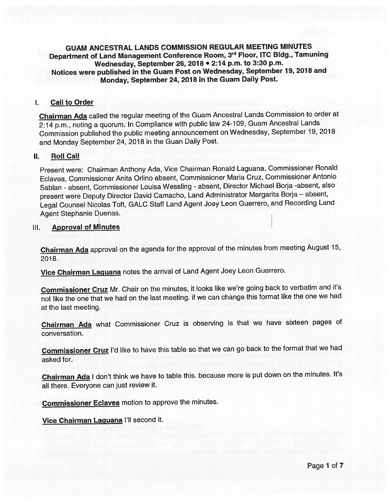GUAM ANCESTRAL LANDS COMMISSION REGULAR MEETING MINUTES Department of Land Management Conference Room, 3rd Floor, ITC Bldg., Tamuning Wednesday, September 26, <sup>2078</sup> • 2:74 p.m. to 3:30 p.m. Notices were published in the Guam Post on Wednesday, September 19, <sup>2018</sup> and Monday, September 24, <sup>2078</sup> in the Guam Daily Post.

#### I. Call to Order

Chairman Ada called the regular meeting of the Guam Ancestral Lands Commission to order at 2:14 p.m., noting a quorum. In Compliance with public law 24-109, Guam Ancestral Lands Commission published the public meeting announcement on Wednesday, September 19, <sup>2018</sup> and Monday September 24, <sup>2018</sup> in the Guan Daily Post.

#### II. Roll Call

Present were: Chairman Anthony Ada, Vice Chairman Ronald Laguana, Commissioner Ronald Eclavea, Commissioner Anita Orlino absent, Commissioner Maria Cruz, Commissioner Antonio Sablan - absent, Commissioner Louisa Wessling - absent, Director Michael Borja -absent, also presen<sup>t</sup> were Deputy Director David Camacho, Land Administrator Margarita Borja — absent, Legal Counsel Nicolas Toft, GALC Staff Land Agent Joey Leon Guerrero, and Recording Land Agent Stephanie Duenas.

#### Ill. Approval of Minutes

Chairman Ada approva<sup>l</sup> on the agenda for the approva<sup>l</sup> of the minutes from meeting August 15, 2018.

Vice Chairman Laguana notes the arrival of Land Agent Joey Leon Guerrero.

Commissioner Cruz Mr. Chair on the minutes, it looks like we're going back to verbatim and it's not like the one that we had on the last meeting. if we can change this format like the one we had at the last meeting.

Chairman Ada what Commissioner Cruz is observing is that we have sixteen pages of conversation.

Commissioner Cruz I'd like to have this table so that we can go back to the format that we had asked for.

Chairman Ada I don't think we have to table this. because more is put down on the minutes. It's all there. Everyone can just review it.

Commissioner Eclavea motion to approve the minutes.

Vice Chairman Laguana I'll second it.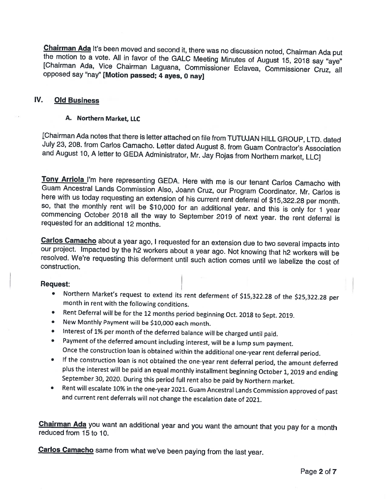Chairman Ada It's been moved and second it, there was no discussion noted, Chairman Ada put the motion to <sup>a</sup> vote. All in favor of the GALC Meeting Minutes of August 15, <sup>2018</sup> say "aye" [Chairman Ada, Vice Chairman Laguana, Commissioner Eclavea, Commissioner Cruz, all opposed say "nay" [Motion passed; 4 aves, 0 nav]

## IV. Old Business

#### A. Northern Market, LLC

[Chairman Ada notes that there is letter attached on file from TUTUJAN HILL GROUP, LTD. dated July 23, 208. from Carlos Camacho. Letter dated August 8. from Guam Contractor's Association and August 10, <sup>A</sup> letter to GEDA Administrator, Mr. Jay Rojas from Northern market, LLC]

Tony Arriola I'm here representing GEDA. Here with me is our tenant Carlos Camacho with Guam Ancestral Lands Commission Also, Joann Cruz, our Program Coordinator. Mr. Carlos is here with us today requesting an extension of his current rent deferral of \$15,322.28 per month. so, that the monthly rent will be \$10,000 for an additional year. and this is only for <sup>1</sup> year commencing October <sup>2018</sup> all the way to September <sup>2019</sup> of next year. the rent deferral is requested for an additional 12 months.

Carlos Camacho about a year ago, I requested for an extension due to two several impacts into our project. Impacted by the h2 workers about <sup>a</sup> year ago. Not knowing that h2 workers will be resolved. We're requesting this deferment until such action comes until we labelize the cost of construction.

#### Request:

- • Northern Market's request to extend its rent deferment of \$15,322.28 of the \$25,322.28 per month in rent with the following conditions.
- •Rent Deferral will be for the <sup>12</sup> months period beginning Oct. <sup>2018</sup> to Sept. 2019.
- •New Monthly Payment will be \$10,000 each month.
- •Interest of 1% per month of the deferred balance will be charged until paid.
- • Payment of the deferred amount including interest, will be <sup>a</sup> lump sum payment. Once the construction loan is obtained within the additional one-year rent deferral period.
- • If the construction loan is not obtained the one-year rent deferral period, the amount deferred <sup>p</sup>lus the interest will be paid an equal monthly installment beginning October 1, <sup>2019</sup> and ending September 30, 2020. During this period full rent also be paid by Northern market.
- • Rent will escalate 10% in the one-year 2021. Guam Ancestral Lands Commission approved of past and current rent deferrals will not change the escalation date of 2021.

Chairman Ada you want an additional year and you want the amount that you pay for <sup>a</sup> month reduced from 15 to 10.

Carlos Camacho same from what we've been paying from the last year.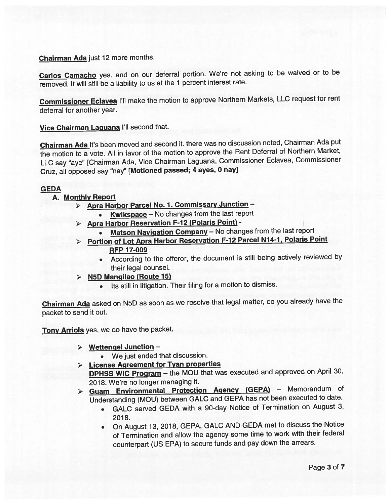Chairman Ada just <sup>12</sup> more months.

Carlos Camacho yes. and on our deferral portion. We're not asking to be waived or to be removed. It will still be <sup>a</sup> liability to us at the <sup>1</sup> percen<sup>t</sup> interest rate.

Commissioner Eclavea I'll make the motion to approve Northern Markets, LLC reques<sup>t</sup> for rent deferral for another year.

Vice Chairman Laguana I'll second that.

Chairman Ada It's been moved and second it. there was no discussion noted, Chairman Ada put the motion to <sup>a</sup> vote. All in favor of the motion to approve the Rent Deferral of Northern Market, LLC say "aye" [Chairman Ada, Vice Chairman Laguana, Commissioner Eclavea, Commissioner Cruz, all oppose<sup>d</sup> say "nay" [Motioned passed; <sup>4</sup> ayes, <sup>0</sup> nay]

### **GEDA**

### A. Monthly Report

- Apra Harbor Parcel No. 1. Commissary Junction
	- Kwikspace No changes from the last report
- <sup>&</sup>gt; Apra Harbor Reservation F-12 (Polaris Point)
	- Matson Navigation Company No changes from the last report
- Portion of Lot Apra Harbor Reservation F-12 Parcel N14-1, Polaris Point **RFP 17-009** 
	- According to the offeror, the document is still being actively reviewed by their legal counsel.
- $\triangleright$  N5D Mangilao (Route 15)
	- Its still in litigation. Their filing for <sup>a</sup> motion to dismiss.

Chairman Ada asked on N5D as soon as we resolve that legal matter, do you already have the packet to send it out.

Tony Arriola yes, we do have the packet.

<sup>&</sup>gt; Wettengel Junction —

• We just ended that discussion.

- <sup>&</sup>gt; License Agreement for Tyan properties DPHSS WIC Program - the MOU that was executed and approved on April 30, 2018. We're no longer managing it.
- > Guam Environmental Protection Agency (GEPA) Memorandum of Understanding (MOU) between GALC and GEPA has not been executed to date.
	- GALC served GEDA with <sup>a</sup> 90-day Notice of Termination on August 3, 2018.
	- On August 13, 2018, GEPA, GALC AND GEDA met to discuss the Notice of Termination and allow the agency some time to work with their federal counterpart (US EPA) to secure funds and pay down the arrears.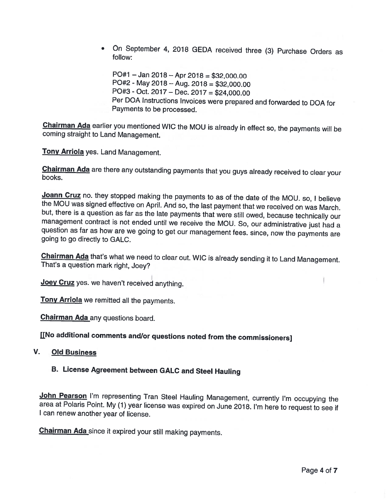• On September 4, <sup>2018</sup> GEDA received three (3) Purchase Orders as follow:

PO#1 — Jan 2018 — Apr 2018 <sup>=</sup> \$32,000.00 PO#2 - May 2018— Aug. <sup>2018</sup> <sup>=</sup> \$32,000.00 PO#3 -Oct. 2017— Dec. 2017 <sup>=</sup> \$24,000.00 Per DOA Instructions Invoices were prepared and forwarded to DOA for Payments to be processed.

Chairman Ada earlier you mentioned WIC the MOU is already in effect so, the payments will be coming straight to Land Management.

**Tony Arriola** yes. Land Management.

Chairman Ada are there any outstanding payments that you guys already received to clear your books.

Joann Cruz no. they stopped making the payments to as of the date of the MOU. so, I believe the MOU was signed effective on April. And so, the last payment that we received on was March. but, there is <sup>a</sup> question as far as the late payments that were still owed, because technically our management contract is not ended until we receive the MOU. So, our administrative just had <sup>a</sup> question as far as how are we going to get our management fees. since, now the payments are going to go directly to GALC.

Chairman Ada that's what we need to clear out. WIC is already sending it to Land Management. That's <sup>a</sup> question mark right, Joey?

Joey Cruz yes. we haven't received anything.

Tony Arriola we remitted all the payments.

**Chairman Ada** any questions board.

j[No additional comments and/or questions noted from the commissioners]

#### V. Old Business

# B. License Agreement between GALC and Steel Hauling

John Pearson I'm representing Tran Steel Hauling Management, currently I'm occupying the area at Polaris Point. My (1) year license was expired on June 2018. I'm here to request to see if <sup>I</sup> can renew another year of license.

Chairman Ada since it expired your still making payments.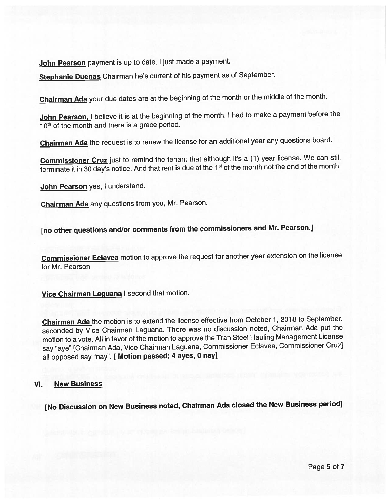John Pearson payment is up to date. I just made a payment.

Stephanie Duenas Chairman he's current of his paymen<sup>t</sup> as of September.

Chairman Ada your due dates are at the beginning of the month or the middle of the month.

John Pearson, I believe it is at the beginning of the month. I had to make a payment before the 10<sup>th</sup> of the month and there is a grace period.

Chairman Ada the reques<sup>t</sup> is to renew the license for an additional year any questions board.

Commissioner Cruz just to remind the tenant that although it's a (1) year license. We can still terminate it in 30 day's notice. And that rent is due at the 1<sup>st</sup> of the month not the end of the month.

John Pearson yes, I understand.

Chairman Ada any questions from you, Mr. Pearson.

[no other questions and/or comments from the commissioners and Mr. Pearson.]

Commissioner Eclavea motion to approve the request for another year extension on the license for Mr. Pearson

Vice Chairman Laguana I second that motion.

Chairman Ada the motion is to extend the license effective from October 1, 2018 to September. seconded by Vice Chairman Laguana. There was no discussion noted, Chairman Ada pu<sup>t</sup> the motion to <sup>a</sup> vote. All in favor of the motion to approve the Tran Steel Hauling Management License say "aye" [Chairman Ada, Vice Chairman Laguana, Commissioner Eclavea, Commissioner CruzJ all opposed say "nay". [ Motion passed; 4 ayes, 0 nay]

#### VI. New Business

[No Discussion on New Business noted, Chairman Ada closed the New Business period]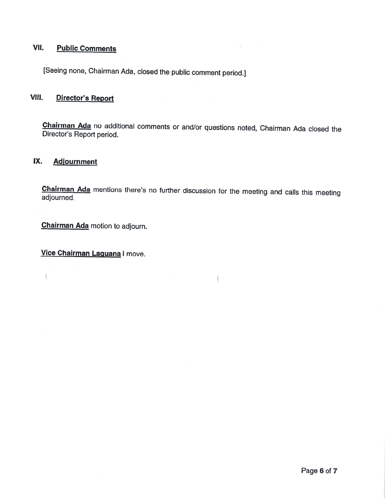# VII. Public Comments

[Seeing none, Chairman Ada, closed the public comment period.]

# VIII. Director's Report

Chairman Ada no additional comments or and/or questions noted, Chairman Ada closed the Director's Report period.

## IX. Adjournment

 $\overline{1}$ 

Chairman Ada mentions there's no further discussion for the meeting and calls this meeting adjourned.

**Chairman Ada** motion to adjourn.

Vice Chairman Laguana I move.